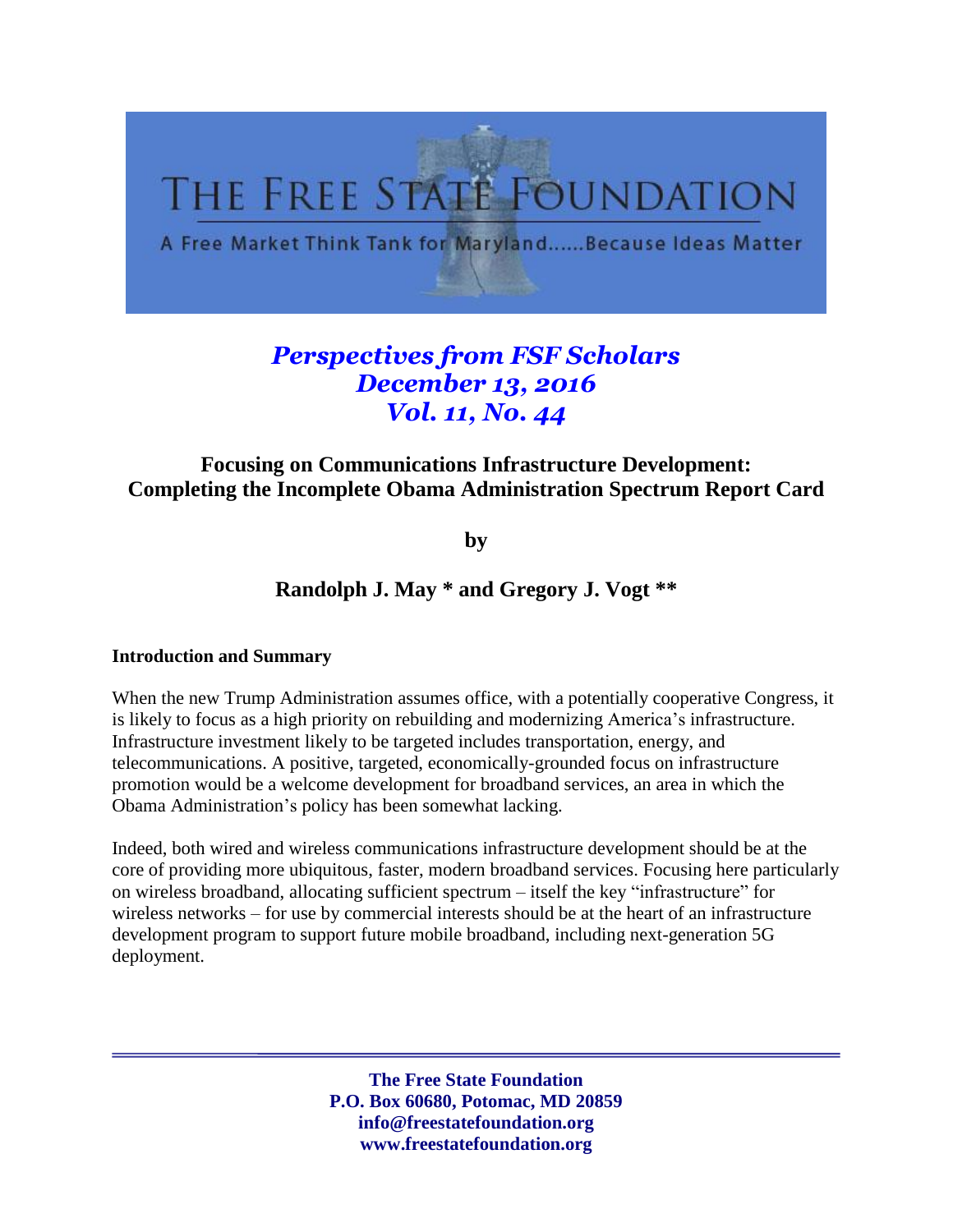

# *Perspectives from FSF Scholars December 13, 2016 Vol. 11, No. 44*

# **Focusing on Communications Infrastructure Development: Completing the Incomplete Obama Administration Spectrum Report Card**

**by**

## **Randolph J. May \* and Gregory J. Vogt \*\***

#### **Introduction and Summary**

When the new Trump Administration assumes office, with a potentially cooperative Congress, it is likely to focus as a high priority on rebuilding and modernizing America's infrastructure. Infrastructure investment likely to be targeted includes transportation, energy, and telecommunications. A positive, targeted, economically-grounded focus on infrastructure promotion would be a welcome development for broadband services, an area in which the Obama Administration's policy has been somewhat lacking.

Indeed, both wired and wireless communications infrastructure development should be at the core of providing more ubiquitous, faster, modern broadband services. Focusing here particularly on wireless broadband, allocating sufficient spectrum – itself the key "infrastructure" for wireless networks – for use by commercial interests should be at the heart of an infrastructure development program to support future mobile broadband, including next-generation 5G deployment.

> **The Free State Foundation P.O. Box 60680, Potomac, MD 20859 info@freestatefoundation.org www.freestatefoundation.org**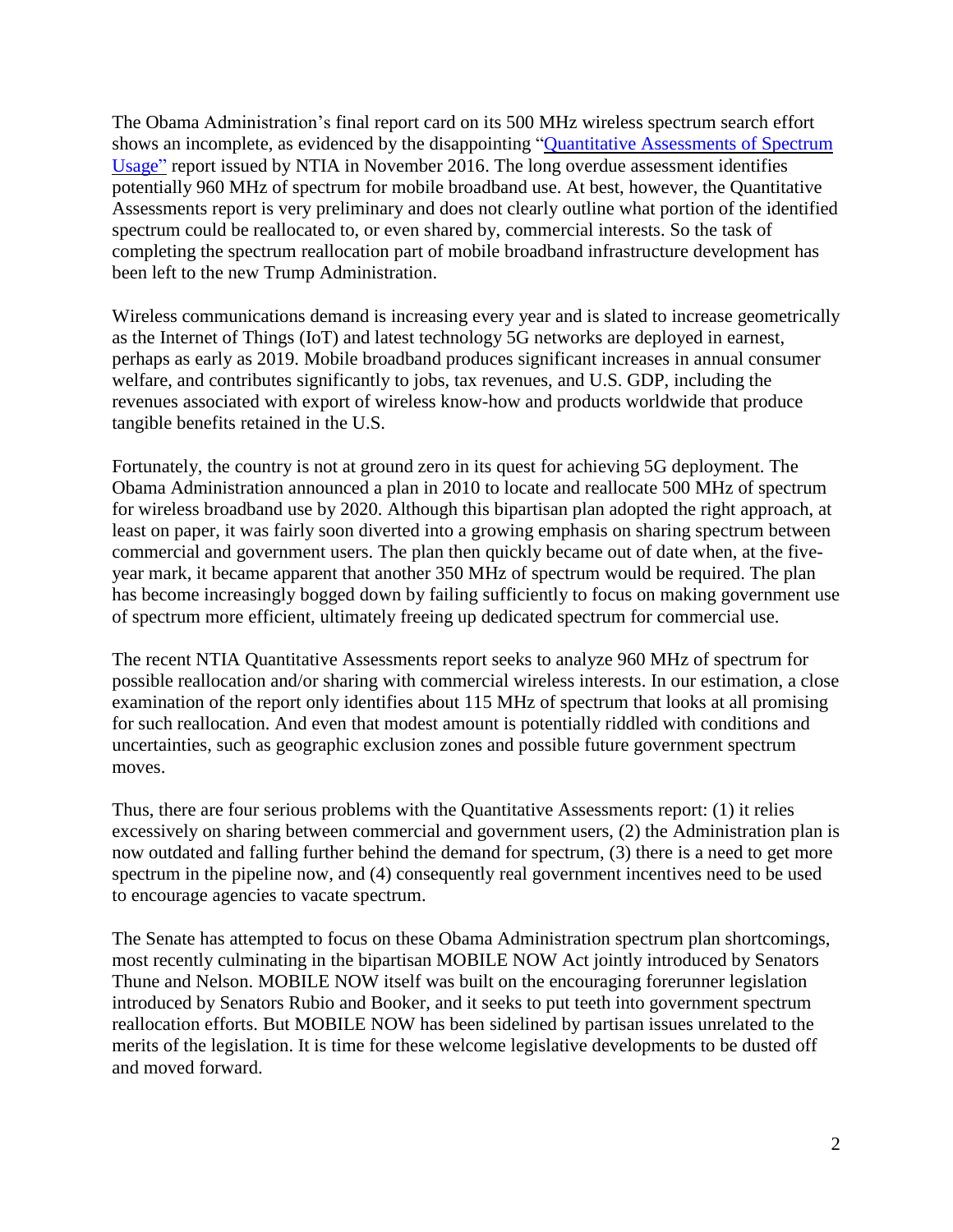The Obama Administration's final report card on its 500 MHz wireless spectrum search effort shows an incomplete, as evidenced by the disappointing ["Quantitative](https://www.ntia.doc.gov/report/2016/quantitative-assessments-spectrum-usage) Assessments of Spectrum [Usage"](https://www.ntia.doc.gov/report/2016/quantitative-assessments-spectrum-usage) report issued by NTIA in November 2016. The long overdue assessment identifies potentially 960 MHz of spectrum for mobile broadband use. At best, however, the Quantitative Assessments report is very preliminary and does not clearly outline what portion of the identified spectrum could be reallocated to, or even shared by, commercial interests. So the task of completing the spectrum reallocation part of mobile broadband infrastructure development has been left to the new Trump Administration.

Wireless communications demand is increasing every year and is slated to increase geometrically as the Internet of Things (IoT) and latest technology 5G networks are deployed in earnest, perhaps as early as 2019. Mobile broadband produces significant increases in annual consumer welfare, and contributes significantly to jobs, tax revenues, and U.S. GDP, including the revenues associated with export of wireless know-how and products worldwide that produce tangible benefits retained in the U.S.

Fortunately, the country is not at ground zero in its quest for achieving 5G deployment. The Obama Administration announced a plan in 2010 to locate and reallocate 500 MHz of spectrum for wireless broadband use by 2020. Although this bipartisan plan adopted the right approach, at least on paper, it was fairly soon diverted into a growing emphasis on sharing spectrum between commercial and government users. The plan then quickly became out of date when, at the fiveyear mark, it became apparent that another 350 MHz of spectrum would be required. The plan has become increasingly bogged down by failing sufficiently to focus on making government use of spectrum more efficient, ultimately freeing up dedicated spectrum for commercial use.

The recent NTIA Quantitative Assessments report seeks to analyze 960 MHz of spectrum for possible reallocation and/or sharing with commercial wireless interests. In our estimation, a close examination of the report only identifies about 115 MHz of spectrum that looks at all promising for such reallocation. And even that modest amount is potentially riddled with conditions and uncertainties, such as geographic exclusion zones and possible future government spectrum moves.

Thus, there are four serious problems with the Quantitative Assessments report: (1) it relies excessively on sharing between commercial and government users, (2) the Administration plan is now outdated and falling further behind the demand for spectrum, (3) there is a need to get more spectrum in the pipeline now, and (4) consequently real government incentives need to be used to encourage agencies to vacate spectrum.

The Senate has attempted to focus on these Obama Administration spectrum plan shortcomings, most recently culminating in the bipartisan MOBILE NOW Act jointly introduced by Senators Thune and Nelson. MOBILE NOW itself was built on the encouraging forerunner legislation introduced by Senators Rubio and Booker, and it seeks to put teeth into government spectrum reallocation efforts. But MOBILE NOW has been sidelined by partisan issues unrelated to the merits of the legislation. It is time for these welcome legislative developments to be dusted off and moved forward.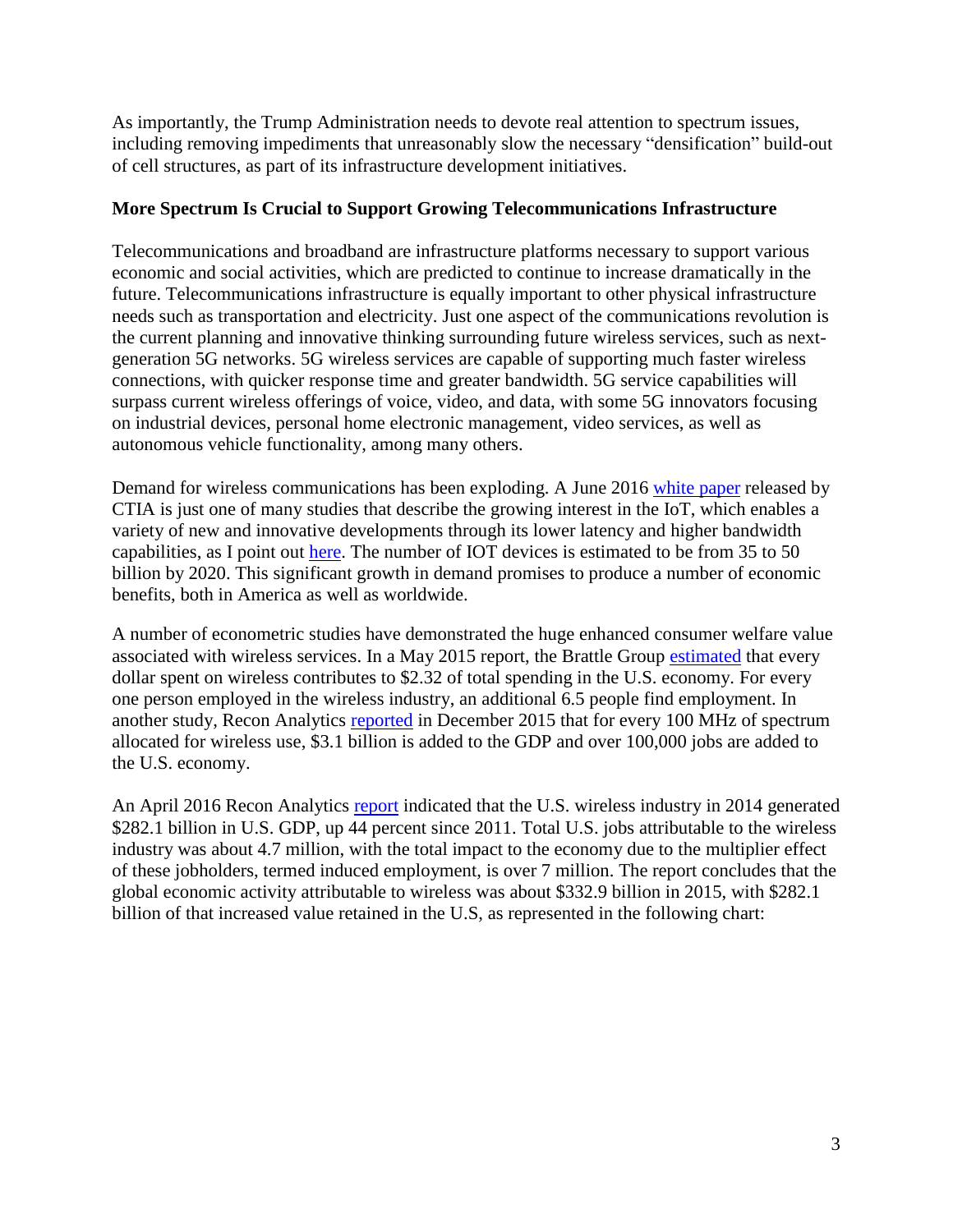As importantly, the Trump Administration needs to devote real attention to spectrum issues, including removing impediments that unreasonably slow the necessary "densification" build-out of cell structures, as part of its infrastructure development initiatives.

## **More Spectrum Is Crucial to Support Growing Telecommunications Infrastructure**

Telecommunications and broadband are infrastructure platforms necessary to support various economic and social activities, which are predicted to continue to increase dramatically in the future. Telecommunications infrastructure is equally important to other physical infrastructure needs such as transportation and electricity. Just one aspect of the communications revolution is the current planning and innovative thinking surrounding future wireless services, such as nextgeneration 5G networks. 5G wireless services are capable of supporting much faster wireless connections, with quicker response time and greater bandwidth. 5G service capabilities will surpass current wireless offerings of voice, video, and data, with some 5G innovators focusing on industrial devices, personal home electronic management, video services, as well as autonomous vehicle functionality, among many others.

Demand for wireless communications has been exploding. A June 2016 [white](http://www.ctia.org/docs/default-source/default-document-library/5g_white-paper-web.pdf) paper released by CTIA is just one of many studies that describe the growing interest in the IoT, which enables a variety of new and innovative developments through its lower latency and higher bandwidth capabilities, as I point out [here.](http://freestatefoundation.org/images/Avoid_Creating_Ruts_in_the_5G_Runway_102616.pdf) The number of IOT devices is estimated to be from 35 to 50 billion by 2020. This significant growth in demand promises to produce a number of economic benefits, both in America as well as worldwide.

A number of econometric studies have demonstrated the huge enhanced consumer welfare value associated with wireless services. In a May 2015 report, the Brattle Group [estimated](http://www.brattle.com/system/publications/pdfs/000/005/168/original/Mobile_Broadband_Spectrum_-_A_Valuable_Resource_for_the_American_Economy_Bazelon_McHenry_051115.pdf?1431372403) that every dollar spent on wireless contributes to \$2.32 of total spending in the U.S. economy. For every one person employed in the wireless industry, an additional 6.5 people find employment. In another study, Recon Analytics [reported](http://www.ctia.org/docs/default-source/default-document-library/for-every-10-mhz.pdf) in December 2015 that for every 100 MHz of spectrum allocated for wireless use, \$3.1 billion is added to the GDP and over 100,000 jobs are added to the U.S. economy.

An April 2016 Recon Analytics [report](http://reconanalytics.com/wp-content/uploads/2016/04/entner-revisiting-spectrum-final.pdf) indicated that the U.S. wireless industry in 2014 generated \$282.1 billion in U.S. GDP, up 44 percent since 2011. Total U.S. jobs attributable to the wireless industry was about 4.7 million, with the total impact to the economy due to the multiplier effect of these jobholders, termed induced employment, is over 7 million. The report concludes that the global economic activity attributable to wireless was about \$332.9 billion in 2015, with \$282.1 billion of that increased value retained in the U.S, as represented in the following chart: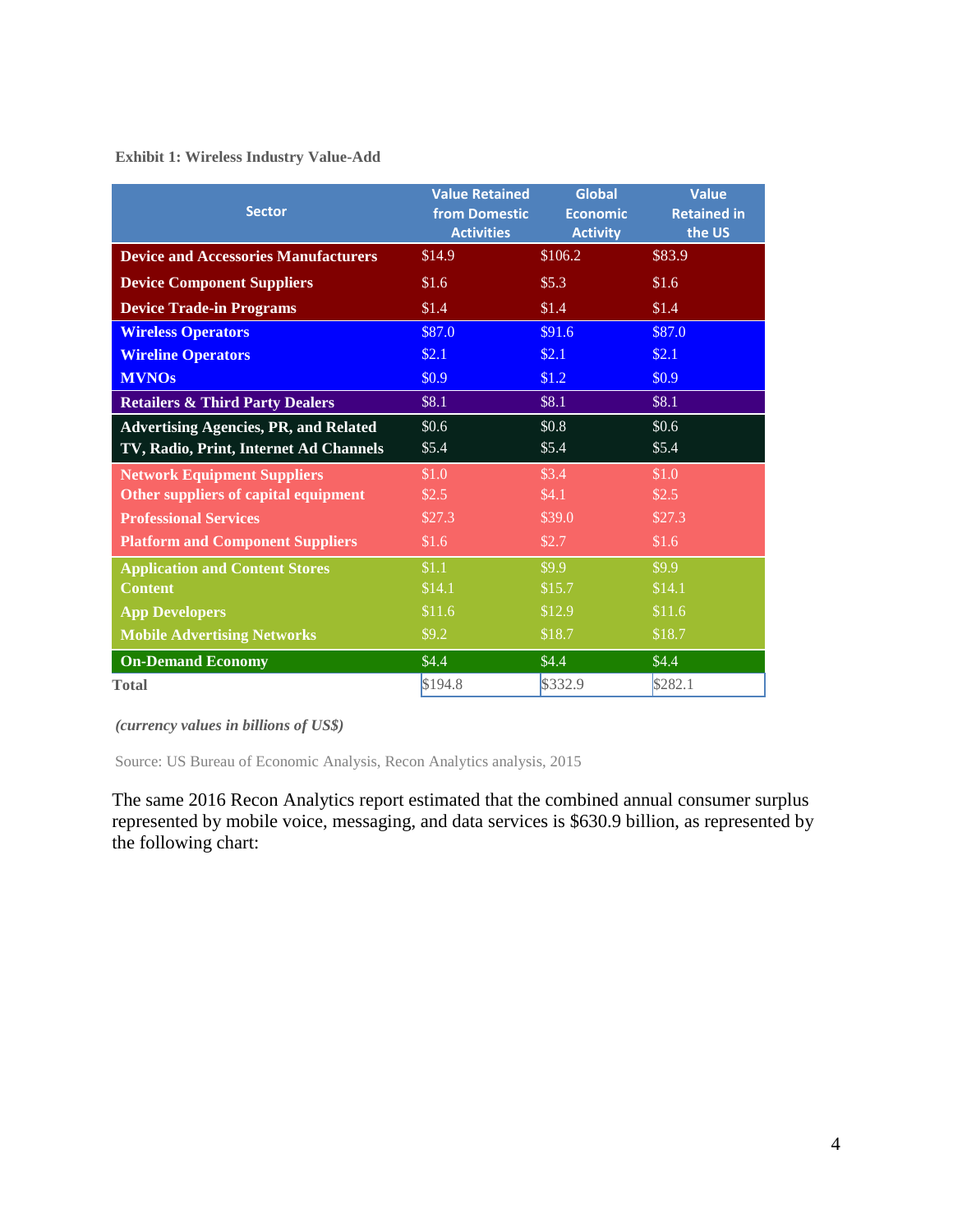**Exhibit 1: Wireless Industry Value-Add**

| <b>Sector</b>                                | <b>Value Retained</b><br>from Domestic<br><b>Activities</b> | <b>Global</b><br><b>Economic</b><br><b>Activity</b> | <b>Value</b><br><b>Retained in</b><br>the US |
|----------------------------------------------|-------------------------------------------------------------|-----------------------------------------------------|----------------------------------------------|
| <b>Device and Accessories Manufacturers</b>  | \$14.9                                                      | \$106.2                                             | \$83.9                                       |
| <b>Device Component Suppliers</b>            | \$1.6                                                       | \$5.3\$                                             | \$1.6                                        |
| <b>Device Trade-in Programs</b>              | \$1.4                                                       | \$1.4                                               | \$1.4                                        |
| <b>Wireless Operators</b>                    | \$87.0                                                      | \$91.6                                              | \$87.0                                       |
| <b>Wireline Operators</b>                    | \$2.1                                                       | \$2.1                                               | \$2.1                                        |
| <b>MVNOs</b>                                 | \$0.9                                                       | \$1.2                                               | \$0.9                                        |
| <b>Retailers &amp; Third Party Dealers</b>   | \$8.1                                                       | \$8.1                                               | \$8.1                                        |
| <b>Advertising Agencies, PR, and Related</b> | \$0.6                                                       | \$0.8\$                                             | \$0.6                                        |
| TV, Radio, Print, Internet Ad Channels       | \$5.4                                                       | \$5.4                                               | \$5.4                                        |
| <b>Network Equipment Suppliers</b>           | \$1.0                                                       | \$3.4                                               | \$1.0                                        |
| Other suppliers of capital equipment         | \$2.5                                                       | \$4.1                                               | \$2.5                                        |
| <b>Professional Services</b>                 | \$27.3                                                      | \$39.0                                              | \$27.3                                       |
| <b>Platform and Component Suppliers</b>      | \$1.6                                                       | \$2.7                                               | \$1.6                                        |
| <b>Application and Content Stores</b>        | \$1.1                                                       | \$9.9                                               | \$9.9                                        |
| <b>Content</b>                               | \$14.1                                                      | \$15.7                                              | \$14.1                                       |
| <b>App Developers</b>                        | \$11.6                                                      | \$12.9                                              | \$11.6                                       |
| <b>Mobile Advertising Networks</b>           | \$9.2                                                       | \$18.7                                              | \$18.7                                       |
| <b>On-Demand Economy</b>                     | \$4.4\$                                                     | \$4.4\$                                             | \$4.4                                        |
| <b>Total</b>                                 | \$194.8                                                     | \$332.9                                             | \$282.1                                      |

*(currency values in billions of US\$)*

Source: US Bureau of Economic Analysis, Recon Analytics analysis, 2015

The same 2016 Recon Analytics report estimated that the combined annual consumer surplus represented by mobile voice, messaging, and data services is \$630.9 billion, as represented by the following chart: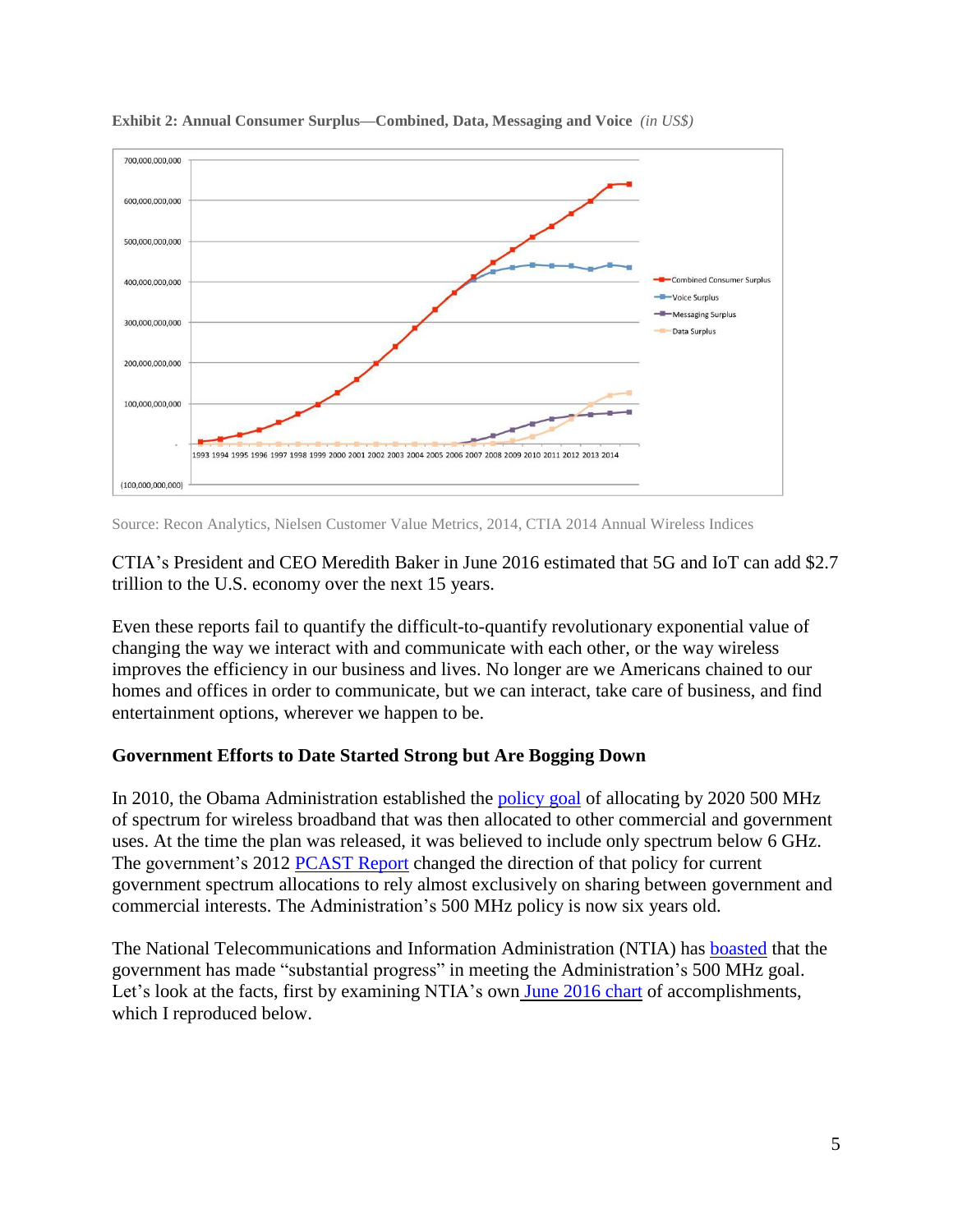

**Exhibit 2: Annual Consumer Surplus—Combined, Data, Messaging and Voice** *(in US\$)*

Source: Recon Analytics, Nielsen Customer Value Metrics, 2014, CTIA 2014 Annual Wireless Indices

CTIA's President and CEO Meredith Baker in June 2016 estimated that 5G and IoT can add \$2.7 trillion to the U.S. economy over the next 15 years.

Even these reports fail to quantify the difficult-to-quantify revolutionary exponential value of changing the way we interact with and communicate with each other, or the way wireless improves the efficiency in our business and lives. No longer are we Americans chained to our homes and offices in order to communicate, but we can interact, take care of business, and find entertainment options, wherever we happen to be.

#### **Government Efforts to Date Started Strong but Are Bogging Down**

In 2010, the Obama Administration established the [policy](http://www.whitehouse.gov/the-press-office/presidential-memorandum-unleashing-wireless-broadband-revolution) goal of allocating by 2020 500 MHz of spectrum for wireless broadband that was then allocated to other commercial and government uses. At the time the plan was released, it was believed to include only spectrum below 6 GHz. The government's 2012 [PCAST](http://www.whitehouse.gov/sites/default/files/microsites/ostp/pcast_spectrum_report_final_july_20_2012.pdf) Report changed the direction of that policy for current government spectrum allocations to rely almost exclusively on sharing between government and commercial interests. The Administration's 500 MHz policy is now six years old.

The National Telecommunications and Information Administration (NTIA) has **[boasted](http://www.ntia.doc.gov/files/ntia/publications/ntia_5th_interim_progress_report_on_ten-year_timetable_april_2015.pdf)** that the government has made "substantial progress" in meeting the Administration's 500 MHz goal. Let's look at the facts, first by examining NTIA's own June [2016](http://www.ntia.doc.gov/files/ntia/publications/ntia_6th_interim_progress_report_on_ten-year_timetable_june_2016.pdf) chart of accomplishments, which I reproduced below.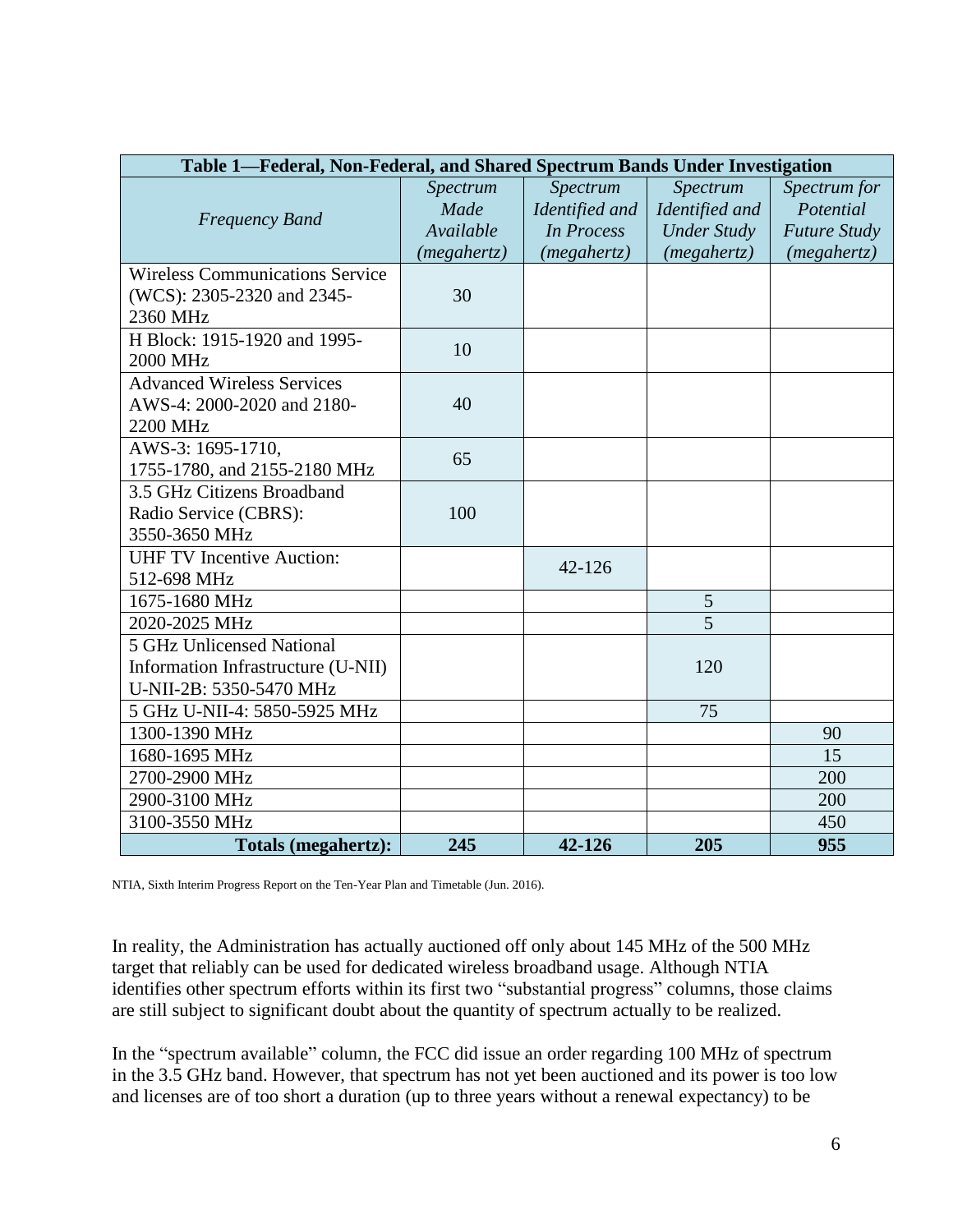| Table 1-Federal, Non-Federal, and Shared Spectrum Bands Under Investigation |             |                   |                    |                     |  |  |  |
|-----------------------------------------------------------------------------|-------------|-------------------|--------------------|---------------------|--|--|--|
|                                                                             | Spectrum    | Spectrum          | Spectrum           | Spectrum for        |  |  |  |
| <b>Frequency Band</b>                                                       | Made        | Identified and    | Identified and     | Potential           |  |  |  |
|                                                                             | Available   | <b>In Process</b> | <b>Under Study</b> | <b>Future Study</b> |  |  |  |
|                                                                             | (megahertz) | (megahertz)       | (megahertz)        | (megahertz)         |  |  |  |
| <b>Wireless Communications Service</b>                                      |             |                   |                    |                     |  |  |  |
| (WCS): 2305-2320 and 2345-                                                  | 30          |                   |                    |                     |  |  |  |
| 2360 MHz                                                                    |             |                   |                    |                     |  |  |  |
| H Block: 1915-1920 and 1995-                                                | 10          |                   |                    |                     |  |  |  |
| 2000 MHz                                                                    |             |                   |                    |                     |  |  |  |
| <b>Advanced Wireless Services</b>                                           |             |                   |                    |                     |  |  |  |
| AWS-4: 2000-2020 and 2180-                                                  | 40          |                   |                    |                     |  |  |  |
| 2200 MHz                                                                    |             |                   |                    |                     |  |  |  |
| AWS-3: 1695-1710,                                                           | 65          |                   |                    |                     |  |  |  |
| 1755-1780, and 2155-2180 MHz                                                |             |                   |                    |                     |  |  |  |
| 3.5 GHz Citizens Broadband                                                  |             |                   |                    |                     |  |  |  |
| Radio Service (CBRS):                                                       | 100         |                   |                    |                     |  |  |  |
| 3550-3650 MHz                                                               |             |                   |                    |                     |  |  |  |
| <b>UHF TV Incentive Auction:</b>                                            |             | $42 - 126$        |                    |                     |  |  |  |
| 512-698 MHz                                                                 |             |                   |                    |                     |  |  |  |
| 1675-1680 MHz                                                               |             |                   | 5                  |                     |  |  |  |
| 2020-2025 MHz                                                               |             |                   | $\overline{5}$     |                     |  |  |  |
| 5 GHz Unlicensed National                                                   |             |                   |                    |                     |  |  |  |
| Information Infrastructure (U-NII)                                          |             |                   | 120                |                     |  |  |  |
| U-NII-2B: 5350-5470 MHz                                                     |             |                   |                    |                     |  |  |  |
| 5 GHz U-NII-4: 5850-5925 MHz                                                |             |                   | 75                 |                     |  |  |  |
| 1300-1390 MHz                                                               |             |                   |                    | 90                  |  |  |  |
| 1680-1695 MHz                                                               |             |                   |                    | 15                  |  |  |  |
| 2700-2900 MHz                                                               |             |                   |                    | 200                 |  |  |  |
| 2900-3100 MHz                                                               |             |                   |                    | 200                 |  |  |  |
| 3100-3550 MHz                                                               |             |                   |                    | 450                 |  |  |  |
| Totals (megahertz):                                                         | 245         | 42-126            | 205                | 955                 |  |  |  |

NTIA, Sixth Interim Progress Report on the Ten-Year Plan and Timetable (Jun. 2016).

In reality, the Administration has actually auctioned off only about 145 MHz of the 500 MHz target that reliably can be used for dedicated wireless broadband usage. Although NTIA identifies other spectrum efforts within its first two "substantial progress" columns, those claims are still subject to significant doubt about the quantity of spectrum actually to be realized.

In the "spectrum available" column, the FCC did issue an order regarding 100 MHz of spectrum in the 3.5 GHz band. However, that spectrum has not yet been auctioned and its power is too low and licenses are of too short a duration (up to three years without a renewal expectancy) to be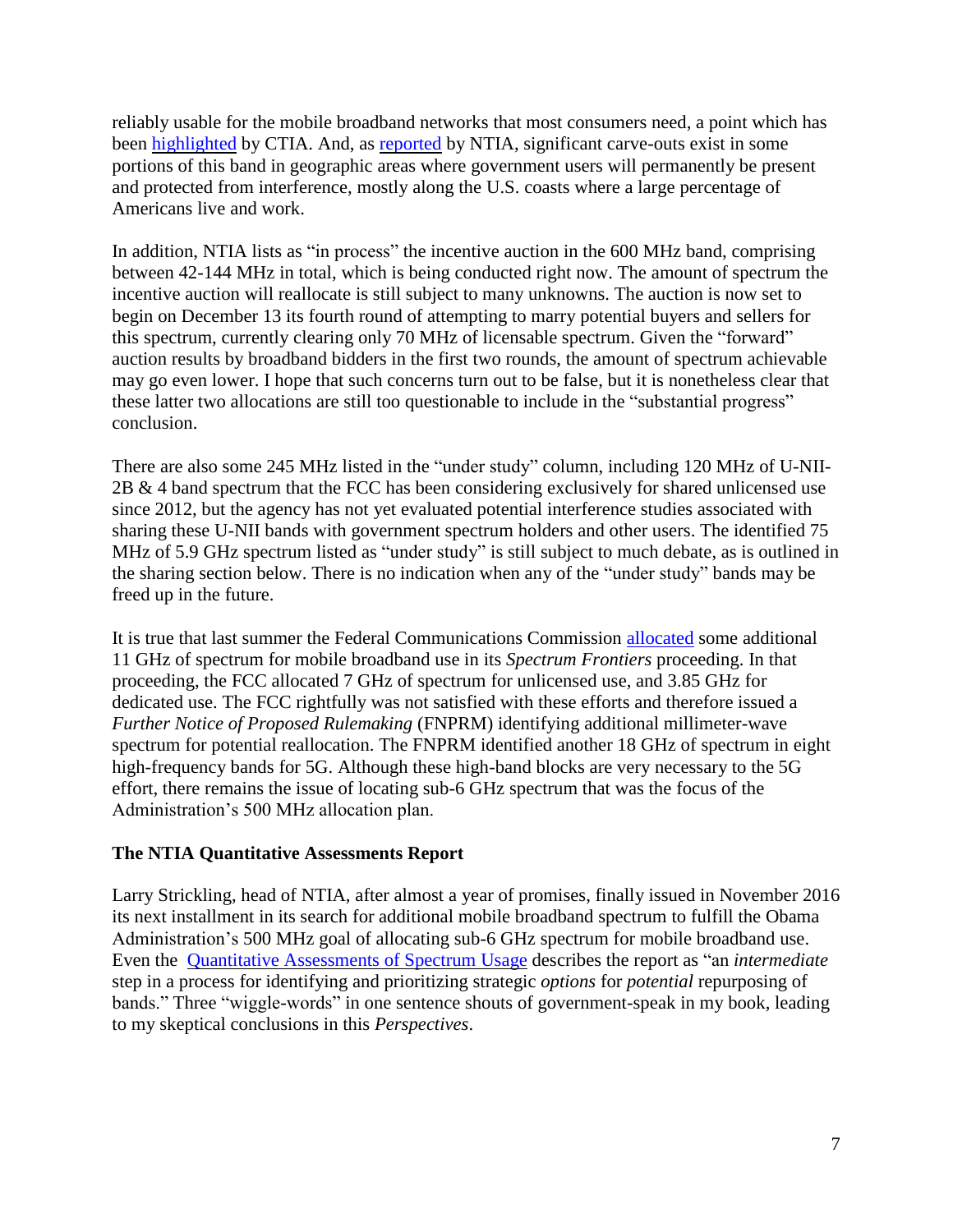reliably usable for the mobile broadband networks that most consumers need, a point which has been [highlighted](http://www.ctia.org/docs/default-source/default-document-library/062115mobile-data-demands-white-paper.pdf) by CTIA. And, as [reported](http://www.its.bldrdoc.gov/publications/2805.aspx) by NTIA, significant carve-outs exist in some portions of this band in geographic areas where government users will permanently be present and protected from interference, mostly along the U.S. coasts where a large percentage of Americans live and work.

In addition, NTIA lists as "in process" the incentive auction in the 600 MHz band, comprising between 42-144 MHz in total, which is being conducted right now. The amount of spectrum the incentive auction will reallocate is still subject to many unknowns. The auction is now set to begin on December 13 its fourth round of attempting to marry potential buyers and sellers for this spectrum, currently clearing only 70 MHz of licensable spectrum. Given the "forward" auction results by broadband bidders in the first two rounds, the amount of spectrum achievable may go even lower. I hope that such concerns turn out to be false, but it is nonetheless clear that these latter two allocations are still too questionable to include in the "substantial progress" conclusion.

There are also some 245 MHz listed in the "under study" column, including 120 MHz of U-NII-2B & 4 band spectrum that the FCC has been considering exclusively for shared unlicensed use since 2012, but the agency has not yet evaluated potential interference studies associated with sharing these U-NII bands with government spectrum holders and other users. The identified 75 MHz of 5.9 GHz spectrum listed as "under study" is still subject to much debate, as is outlined in the sharing section below. There is no indication when any of the "under study" bands may be freed up in the future.

It is true that last summer the Federal Communications Commission [allocated](https://apps.fcc.gov/edocs_public/attachmatch/FCC-16-89A1.pdf) some additional 11 GHz of spectrum for mobile broadband use in its *Spectrum Frontiers* proceeding. In that proceeding, the FCC allocated 7 GHz of spectrum for unlicensed use, and 3.85 GHz for dedicated use. The FCC rightfully was not satisfied with these efforts and therefore issued a *Further Notice of Proposed Rulemaking* (FNPRM) identifying additional millimeter-wave spectrum for potential reallocation. The FNPRM identified another 18 GHz of spectrum in eight high-frequency bands for 5G. Although these high-band blocks are very necessary to the 5G effort, there remains the issue of locating sub-6 GHz spectrum that was the focus of the Administration's 500 MHz allocation plan.

## **The NTIA Quantitative Assessments Report**

Larry Strickling, head of NTIA, after almost a year of promises, finally issued in November 2016 its next installment in its search for additional mobile broadband spectrum to fulfill the Obama Administration's 500 MHz goal of allocating sub-6 GHz spectrum for mobile broadband use. Even the Quantitative [Assessments](https://www.ntia.doc.gov/report/2016/quantitative-assessments-spectrum-usage) of Spectrum Usage describes the report as "an *intermediate* step in a process for identifying and prioritizing strategic *options* for *potential* repurposing of bands." Three "wiggle-words" in one sentence shouts of government-speak in my book, leading to my skeptical conclusions in this *Perspectives*.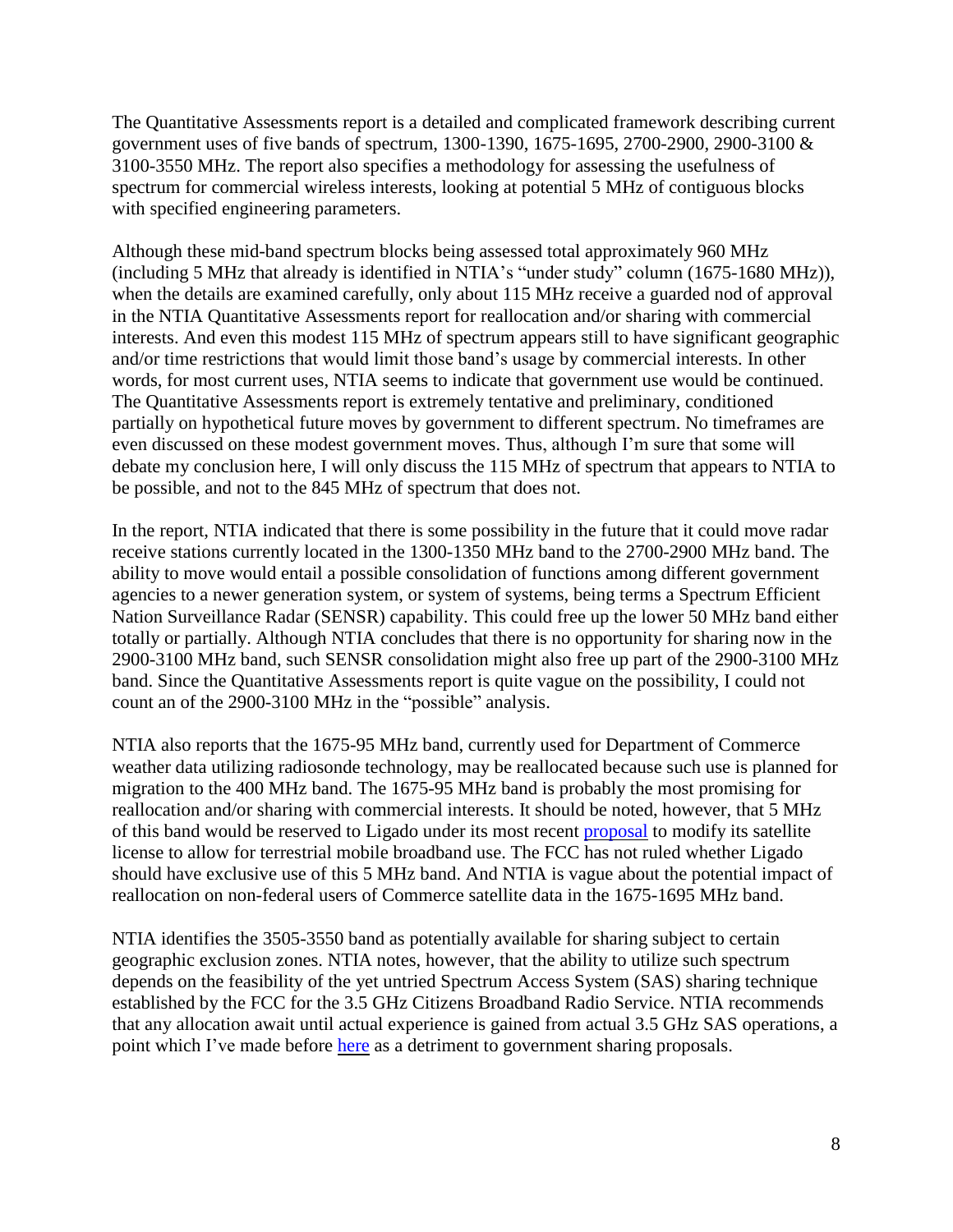The Quantitative Assessments report is a detailed and complicated framework describing current government uses of five bands of spectrum, 1300-1390, 1675-1695, 2700-2900, 2900-3100 & 3100-3550 MHz. The report also specifies a methodology for assessing the usefulness of spectrum for commercial wireless interests, looking at potential 5 MHz of contiguous blocks with specified engineering parameters.

Although these mid-band spectrum blocks being assessed total approximately 960 MHz (including 5 MHz that already is identified in NTIA's "under study" column (1675-1680 MHz)), when the details are examined carefully, only about 115 MHz receive a guarded nod of approval in the NTIA Quantitative Assessments report for reallocation and/or sharing with commercial interests. And even this modest 115 MHz of spectrum appears still to have significant geographic and/or time restrictions that would limit those band's usage by commercial interests. In other words, for most current uses, NTIA seems to indicate that government use would be continued. The Quantitative Assessments report is extremely tentative and preliminary, conditioned partially on hypothetical future moves by government to different spectrum. No timeframes are even discussed on these modest government moves. Thus, although I'm sure that some will debate my conclusion here, I will only discuss the 115 MHz of spectrum that appears to NTIA to be possible, and not to the 845 MHz of spectrum that does not.

In the report, NTIA indicated that there is some possibility in the future that it could move radar receive stations currently located in the 1300-1350 MHz band to the 2700-2900 MHz band. The ability to move would entail a possible consolidation of functions among different government agencies to a newer generation system, or system of systems, being terms a Spectrum Efficient Nation Surveillance Radar (SENSR) capability. This could free up the lower 50 MHz band either totally or partially. Although NTIA concludes that there is no opportunity for sharing now in the 2900-3100 MHz band, such SENSR consolidation might also free up part of the 2900-3100 MHz band. Since the Quantitative Assessments report is quite vague on the possibility, I could not count an of the 2900-3100 MHz in the "possible" analysis.

NTIA also reports that the 1675-95 MHz band, currently used for Department of Commerce weather data utilizing radiosonde technology, may be reallocated because such use is planned for migration to the 400 MHz band. The 1675-95 MHz band is probably the most promising for reallocation and/or sharing with commercial interests. It should be noted, however, that 5 MHz of this band would be reserved to Ligado under its most recent [proposal](https://ecfsapi.fcc.gov/file/60001396805.pdf) to modify its satellite license to allow for terrestrial mobile broadband use. The FCC has not ruled whether Ligado should have exclusive use of this 5 MHz band. And NTIA is vague about the potential impact of reallocation on non-federal users of Commerce satellite data in the 1675-1695 MHz band.

NTIA identifies the 3505-3550 band as potentially available for sharing subject to certain geographic exclusion zones. NTIA notes, however, that the ability to utilize such spectrum depends on the feasibility of the yet untried Spectrum Access System (SAS) sharing technique established by the FCC for the 3.5 GHz Citizens Broadband Radio Service. NTIA recommends that any allocation await until actual experience is gained from actual 3.5 GHz SAS operations, a point which I've made before [here](http://www.freestatefoundation.org/images/Avoiding_a_Train_Wreck_-_Giving_Government_a_Market_Incentive_to_Vacate_Spectrum_080415.pdf) as a detriment to government sharing proposals.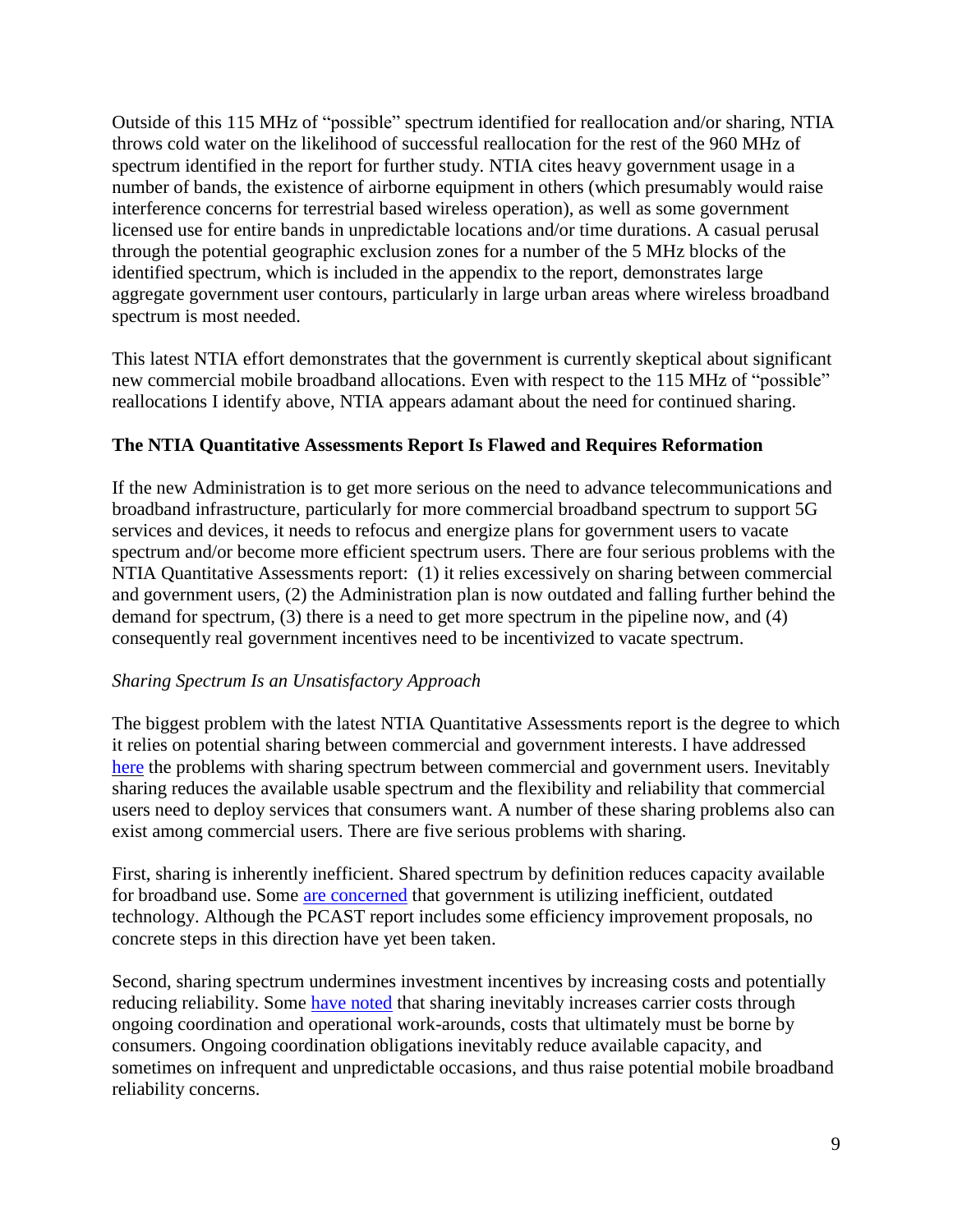Outside of this 115 MHz of "possible" spectrum identified for reallocation and/or sharing, NTIA throws cold water on the likelihood of successful reallocation for the rest of the 960 MHz of spectrum identified in the report for further study. NTIA cites heavy government usage in a number of bands, the existence of airborne equipment in others (which presumably would raise interference concerns for terrestrial based wireless operation), as well as some government licensed use for entire bands in unpredictable locations and/or time durations. A casual perusal through the potential geographic exclusion zones for a number of the 5 MHz blocks of the identified spectrum, which is included in the appendix to the report, demonstrates large aggregate government user contours, particularly in large urban areas where wireless broadband spectrum is most needed.

This latest NTIA effort demonstrates that the government is currently skeptical about significant new commercial mobile broadband allocations. Even with respect to the 115 MHz of "possible" reallocations I identify above, NTIA appears adamant about the need for continued sharing.

## **The NTIA Quantitative Assessments Report Is Flawed and Requires Reformation**

If the new Administration is to get more serious on the need to advance telecommunications and broadband infrastructure, particularly for more commercial broadband spectrum to support 5G services and devices, it needs to refocus and energize plans for government users to vacate spectrum and/or become more efficient spectrum users. There are four serious problems with the NTIA Quantitative Assessments report: (1) it relies excessively on sharing between commercial and government users, (2) the Administration plan is now outdated and falling further behind the demand for spectrum, (3) there is a need to get more spectrum in the pipeline now, and (4) consequently real government incentives need to be incentivized to vacate spectrum.

## *Sharing Spectrum Is an Unsatisfactory Approach*

The biggest problem with the latest NTIA Quantitative Assessments report is the degree to which it relies on potential sharing between commercial and government interests. I have addressed [here](http://www.freestatefoundation.org/images/Sharing_the_Road_-_When_Hogging_Spectrum_Lanes_Requires_Redirecting_Government_Traffic_062714.pdf) the problems with sharing spectrum between commercial and government users. Inevitably sharing reduces the available usable spectrum and the flexibility and reliability that commercial users need to deploy services that consumers want. A number of these sharing problems also can exist among commercial users. There are five serious problems with sharing.

First, sharing is inherently inefficient. Shared spectrum by definition reduces capacity available for broadband use. Some [are concerned](http://www.ctia.org/docs/default-source/default-document-library/ctia-response-to-house-white-paper-on-modernizing-spectrum-policy.pdf?sfvrsn=2) that government is utilizing inefficient, outdated technology. Although the PCAST report includes some efficiency improvement proposals, no concrete steps in this direction have yet been taken.

Second, sharing spectrum undermines investment incentives by increasing costs and potentially reducing reliability. Some [have noted](http://research.microsoft.com/en-us/um/redmond/events/cognetsummit/papers/peha_proc_of_ieee.pdf) that sharing inevitably increases carrier costs through ongoing coordination and operational work-arounds, costs that ultimately must be borne by consumers. Ongoing coordination obligations inevitably reduce available capacity, and sometimes on infrequent and unpredictable occasions, and thus raise potential mobile broadband reliability concerns.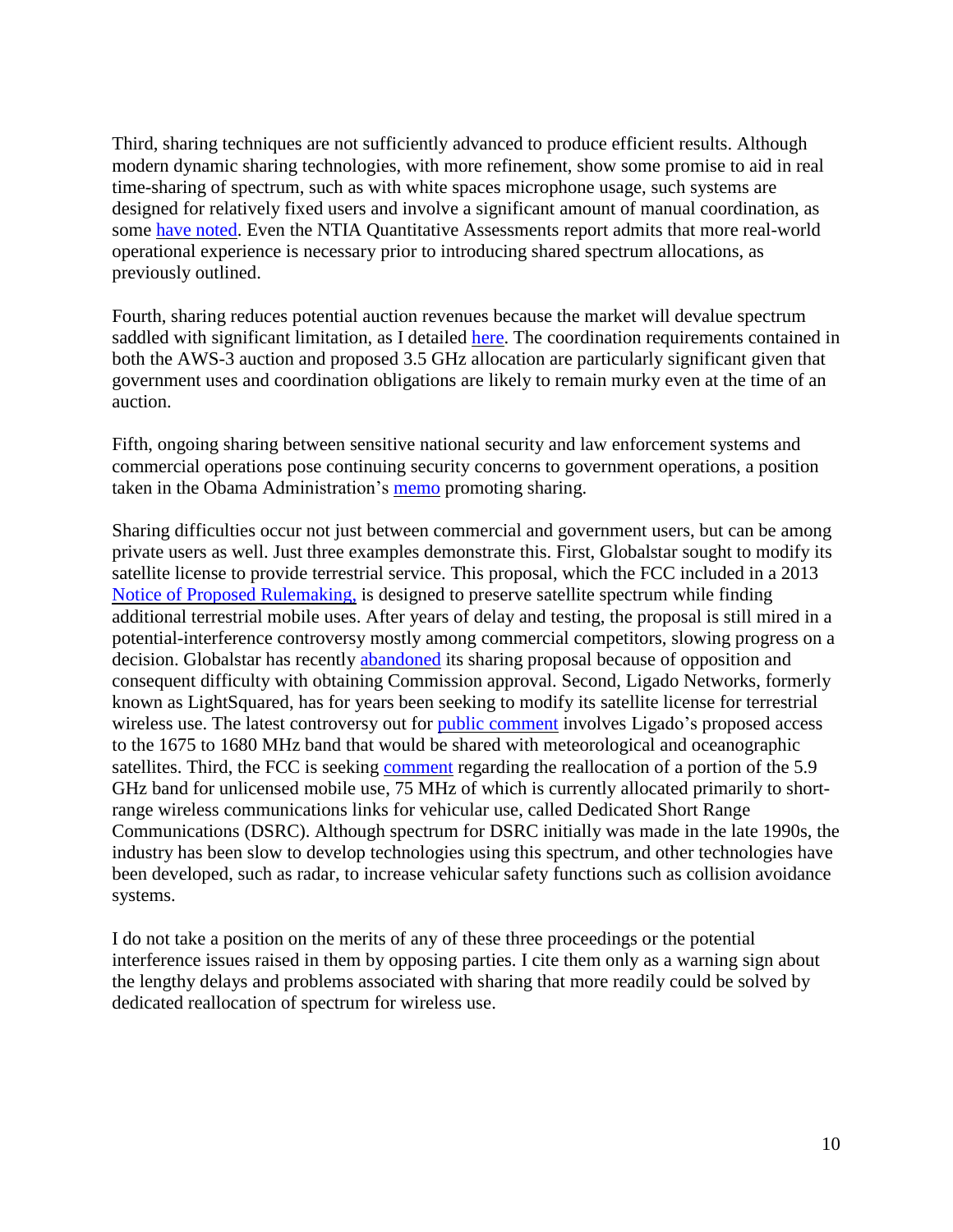Third, sharing techniques are not sufficiently advanced to produce efficient results. Although modern dynamic sharing technologies, with more refinement, show some promise to aid in real time-sharing of spectrum, such as with white spaces microphone usage, such systems are designed for relatively fixed users and involve a significant amount of manual coordination, as some have [noted.](http://research.microsoft.com/en-us/um/redmond/events/cognetsummit/papers/peha_proc_of_ieee.pdf) Even the NTIA Quantitative Assessments report admits that more real-world operational experience is necessary prior to introducing shared spectrum allocations, as previously outlined.

Fourth, sharing reduces potential auction revenues because the market will devalue spectrum saddled with significant limitation, as I detailed [here.](http://freestatefoundation.blogspot.com/2014/04/snatching-victory-from-jaws-of-defeat_2.html) The coordination requirements contained in both the AWS-3 auction and proposed 3.5 GHz allocation are particularly significant given that government uses and coordination obligations are likely to remain murky even at the time of an auction.

Fifth, ongoing sharing between sensitive national security and law enforcement systems and commercial operations pose continuing security concerns to government operations, a position taken in the Obama Administration's [memo](http://www.whitehouse.gov/the-press-office/2013/06/14/presidential-memorandum-expanding-americas-leadership-wireless-innovatio) promoting sharing.

Sharing difficulties occur not just between commercial and government users, but can be among private users as well. Just three examples demonstrate this. First, Globalstar sought to modify its satellite license to provide terrestrial service. This proposal, which the FCC included in a 2013 Notice of Proposed [Rulemaking,](https://apps.fcc.gov/edocs_public/attachmatch/FCC-13-147A1.pdf) is designed to preserve satellite spectrum while finding additional terrestrial mobile uses. After years of delay and testing, the proposal is still mired in a potential-interference controversy mostly among commercial competitors, slowing progress on a decision. Globalstar has recently [abandoned](https://ecfsapi.fcc.gov/file/110906339456/Globalstar%20Filing%20110916.pdf) its sharing proposal because of opposition and consequent difficulty with obtaining Commission approval. Second, Ligado Networks, formerly known as LightSquared, has for years been seeking to modify its satellite license for terrestrial wireless use. The latest controversy out for public [comment](https://apps.fcc.gov/edocs_public/attachmatch/DA-16-443A1.pdf) involves Ligado's proposed access to the 1675 to 1680 MHz band that would be shared with meteorological and oceanographic satellites. Third, the FCC is seeking [comment](http://transition.fcc.gov/Daily_Releases/Daily_Business/2016/db0601/FCC-16-68A1.pdf) regarding the reallocation of a portion of the 5.9 GHz band for unlicensed mobile use, 75 MHz of which is currently allocated primarily to shortrange wireless communications links for vehicular use, called Dedicated Short Range Communications (DSRC). Although spectrum for DSRC initially was made in the late 1990s, the industry has been slow to develop technologies using this spectrum, and other technologies have been developed, such as radar, to increase vehicular safety functions such as collision avoidance systems.

I do not take a position on the merits of any of these three proceedings or the potential interference issues raised in them by opposing parties. I cite them only as a warning sign about the lengthy delays and problems associated with sharing that more readily could be solved by dedicated reallocation of spectrum for wireless use.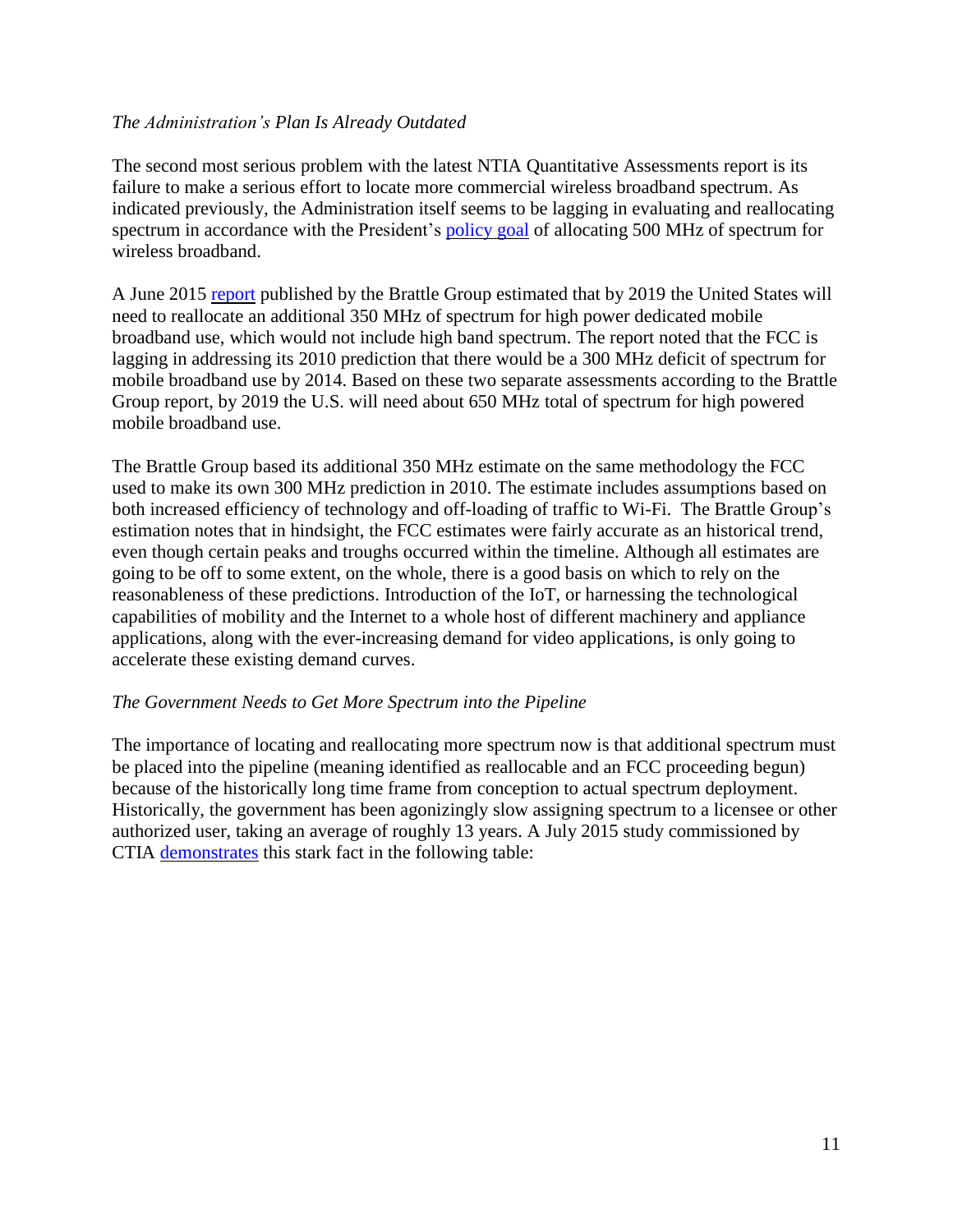### *The Administration's Plan Is Already Outdated*

The second most serious problem with the latest NTIA Quantitative Assessments report is its failure to make a serious effort to locate more commercial wireless broadband spectrum. As indicated previously, the Administration itself seems to be lagging in evaluating and reallocating spectrum in accordance with the President's [policy](http://www.whitehouse.gov/the-press-office/presidential-memorandum-unleashing-wireless-broadband-revolution) goal of allocating 500 MHz of spectrum for wireless broadband.

A June 2015 [report](http://www.brattle.com/system/news/pdfs/000/000/891/original/Substantial_Licensed_Spectrum_Deficit_%282015-2019%29_-_Updating_the_FCC) published by the Brattle Group estimated that by 2019 the United States will need to reallocate an additional 350 MHz of spectrum for high power dedicated mobile broadband use, which would not include high band spectrum. The report noted that the FCC is lagging in addressing its 2010 prediction that there would be a 300 MHz deficit of spectrum for mobile broadband use by 2014. Based on these two separate assessments according to the Brattle Group report, by 2019 the U.S. will need about 650 MHz total of spectrum for high powered mobile broadband use.

The Brattle Group based its additional 350 MHz estimate on the same methodology the FCC used to make its own 300 MHz prediction in 2010. The estimate includes assumptions based on both increased efficiency of technology and off-loading of traffic to Wi-Fi. The Brattle Group's estimation notes that in hindsight, the FCC estimates were fairly accurate as an historical trend, even though certain peaks and troughs occurred within the timeline. Although all estimates are going to be off to some extent, on the whole, there is a good basis on which to rely on the reasonableness of these predictions. Introduction of the IoT, or harnessing the technological capabilities of mobility and the Internet to a whole host of different machinery and appliance applications, along with the ever-increasing demand for video applications, is only going to accelerate these existing demand curves.

#### *The Government Needs to Get More Spectrum into the Pipeline*

The importance of locating and reallocating more spectrum now is that additional spectrum must be placed into the pipeline (meaning identified as reallocable and an FCC proceeding begun) because of the historically long time frame from conception to actual spectrum deployment. Historically, the government has been agonizingly slow assigning spectrum to a licensee or other authorized user, taking an average of roughly 13 years. A July 2015 study commissioned by CTIA [demonstrates](https://ecfsapi.fcc.gov/file/60001121340.pdf) this stark fact in the following table: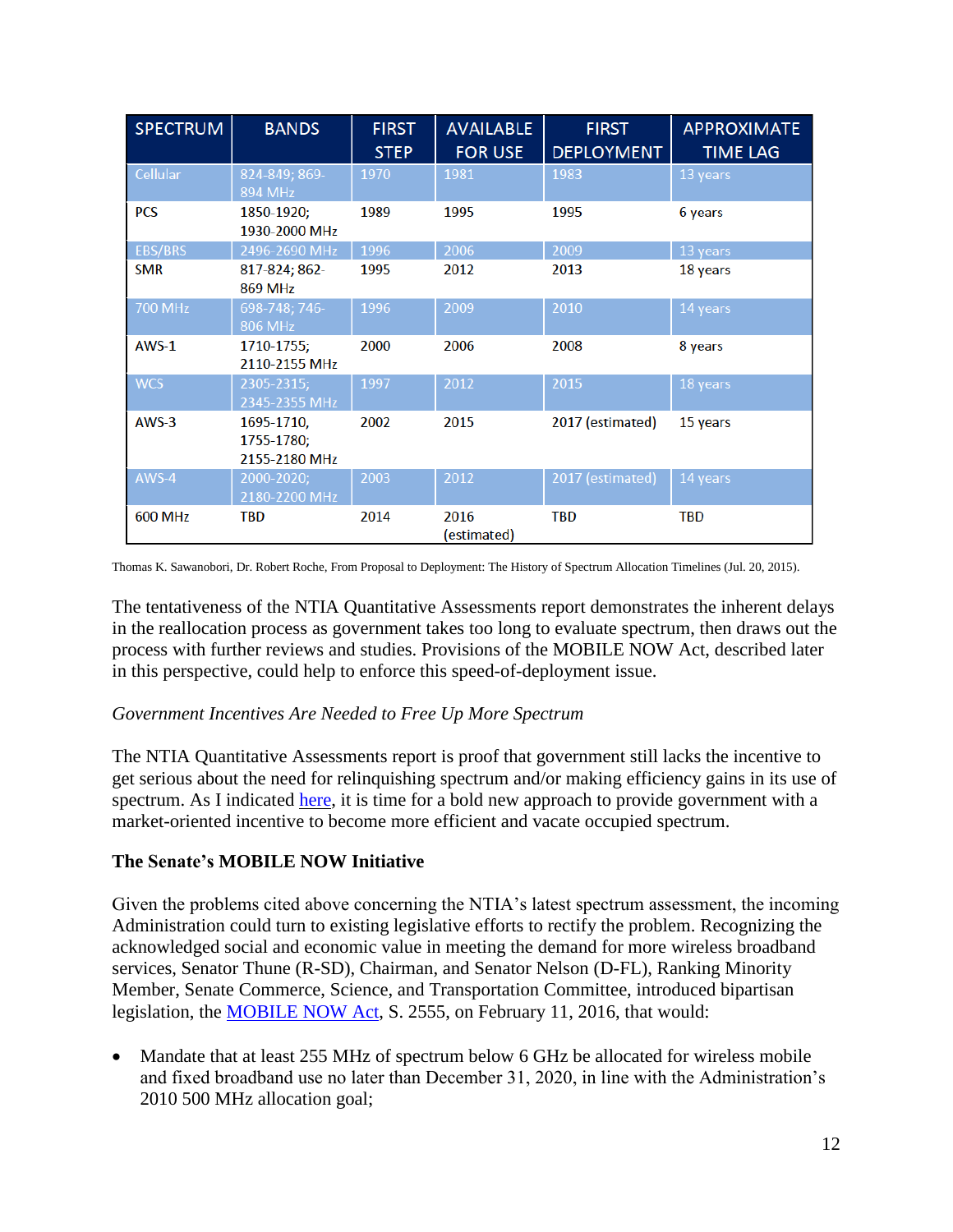| <b>SPECTRUM</b> | <b>BANDS</b>                              | <b>FIRST</b><br><b>STEP</b> | <b>AVAILABLE</b><br><b>FOR USE</b> | <b>FIRST</b><br><b>DEPLOYMENT</b> | <b>APPROXIMATE</b><br><b>TIME LAG</b> |
|-----------------|-------------------------------------------|-----------------------------|------------------------------------|-----------------------------------|---------------------------------------|
| Cellular        | 824-849; 869-<br>894 MHz                  | 1970                        | 1981                               | 1983                              | 13 years                              |
| <b>PCS</b>      | 1850-1920;<br>1930-2000 MHz               | 1989                        | 1995                               | 1995                              | 6 years                               |
| <b>EBS/BRS</b>  | 2496-2690 MHz                             | 1996                        | 2006                               | 2009                              | 13 years                              |
| <b>SMR</b>      | 817-824; 862-<br><b>869 MHz</b>           | 1995                        | 2012                               | 2013                              | 18 years                              |
| <b>700 MHz</b>  | 698-748; 746-<br>806 MHz                  | 1996                        | 2009                               | 2010                              | 14 years                              |
| $AWS-1$         | 1710-1755;<br>2110-2155 MHz               | 2000                        | 2006                               | 2008                              | 8 years                               |
| <b>WCS</b>      | 2305-2315;<br>2345-2355 MHz               | 1997                        | 2012                               | 2015                              | 18 years                              |
| $AWS-3$         | 1695-1710,<br>1755-1780;<br>2155-2180 MHz | 2002                        | 2015                               | 2017 (estimated)                  | 15 years                              |
| AWS-4           | 2000-2020;<br>2180-2200 MHz               | 2003                        | 2012                               | 2017 (estimated)                  | 14 years                              |
| <b>600 MHz</b>  | <b>TBD</b>                                | 2014                        | 2016<br>(estimated)                | <b>TBD</b>                        | <b>TBD</b>                            |

Thomas K. Sawanobori, Dr. Robert Roche, From Proposal to Deployment: The History of Spectrum Allocation Timelines (Jul. 20, 2015).

The tentativeness of the NTIA Quantitative Assessments report demonstrates the inherent delays in the reallocation process as government takes too long to evaluate spectrum, then draws out the process with further reviews and studies. Provisions of the MOBILE NOW Act, described later in this perspective, could help to enforce this speed-of-deployment issue.

#### *Government Incentives Are Needed to Free Up More Spectrum*

The NTIA Quantitative Assessments report is proof that government still lacks the incentive to get serious about the need for relinquishing spectrum and/or making efficiency gains in its use of spectrum. As I indicated [here,](http://freestatefoundation.org/images/Avoiding_a_Train_Wreck_-_Giving_Government_a_Market_Incentive_to_Vacate_Spectrum_080415.pdf) it is time for a bold new approach to provide government with a market-oriented incentive to become more efficient and vacate occupied spectrum.

## **The Senate's MOBILE NOW Initiative**

Given the problems cited above concerning the NTIA's latest spectrum assessment, the incoming Administration could turn to existing legislative efforts to rectify the problem. Recognizing the acknowledged social and economic value in meeting the demand for more wireless broadband services, Senator Thune (R-SD), Chairman, and Senator Nelson (D-FL), Ranking Minority Member, Senate Commerce, Science, and Transportation Committee, introduced bipartisan legislation, the [MOBILE NOW Act,](http://www.commerce.senate.gov/public/_cache/files/8805bde8-408f-4b5e-a5fa-d867eed9d84f/146C427A5D018C04CE7E9C925D398163.mobile-now-act.pdf) S. 2555, on February 11, 2016, that would:

• Mandate that at least 255 MHz of spectrum below 6 GHz be allocated for wireless mobile and fixed broadband use no later than December 31, 2020, in line with the Administration's 2010 500 MHz allocation goal;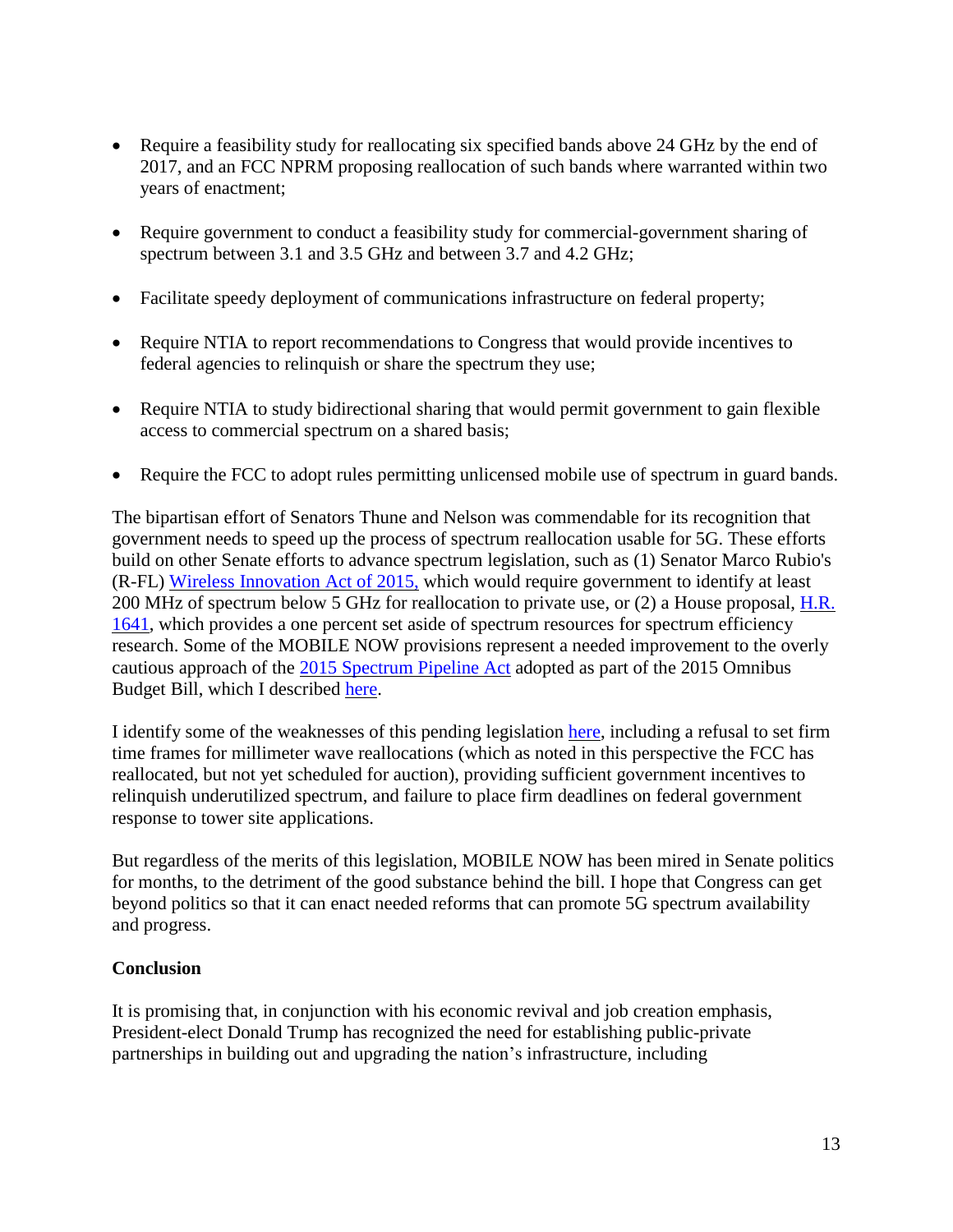- Require a feasibility study for reallocating six specified bands above 24 GHz by the end of 2017, and an FCC NPRM proposing reallocation of such bands where warranted within two years of enactment;
- Require government to conduct a feasibility study for commercial-government sharing of spectrum between 3.1 and 3.5 GHz and between 3.7 and 4.2 GHz;
- Facilitate speedy deployment of communications infrastructure on federal property;
- Require NTIA to report recommendations to Congress that would provide incentives to federal agencies to relinquish or share the spectrum they use;
- Require NTIA to study bidirectional sharing that would permit government to gain flexible access to commercial spectrum on a shared basis;
- Require the FCC to adopt rules permitting unlicensed mobile use of spectrum in guard bands.

The bipartisan effort of Senators Thune and Nelson was commendable for its recognition that government needs to speed up the process of spectrum reallocation usable for 5G. These efforts build on other Senate efforts to advance spectrum legislation, such as (1) Senator Marco Rubio's (R-FL) Wireless [Innovation](http://www.rubio.senate.gov/public/index.cfm?a=files.serve&File_id=a0418eb7-2988-483b-97ea-1712e1caa44f) Act of 2015, which would require government to identify at least 200 MHz of spectrum below 5 GHz for reallocation to private use, or (2) a House proposal, [H.R.](https://www.govtrack.us/congress/bills/114/hr1641/text) [1641,](https://www.govtrack.us/congress/bills/114/hr1641/text) which provides a one percent set aside of spectrum resources for spectrum efficiency research. Some of the MOBILE NOW provisions represent a needed improvement to the overly cautious approach of the 2015 [Spectrum](https://www.congress.gov/bill/114th-congress/house-bill/1314/text?q=%7B%22search%22%3A%5B%22bipartisan+budget%22%5D%7D&resultIndex=2) Pipeline Act adopted as part of the 2015 Omnibus Budget Bill, which I described [here.](http://freestatefoundation.blogspot.com/search?q=spectrum+pipeline)

I identify some of the weaknesses of this pending legislation [here,](http://freestatefoundation.org/images/The_MOBILE_NOW_Act_-_An_Important_Step_Forward_022416.pdf) including a refusal to set firm time frames for millimeter wave reallocations (which as noted in this perspective the FCC has reallocated, but not yet scheduled for auction), providing sufficient government incentives to relinquish underutilized spectrum, and failure to place firm deadlines on federal government response to tower site applications.

But regardless of the merits of this legislation, MOBILE NOW has been mired in Senate politics for months, to the detriment of the good substance behind the bill. I hope that Congress can get beyond politics so that it can enact needed reforms that can promote 5G spectrum availability and progress.

#### **Conclusion**

It is promising that, in conjunction with his economic revival and job creation emphasis, President-elect Donald Trump has recognized the need for establishing public-private partnerships in building out and upgrading the nation's infrastructure, including